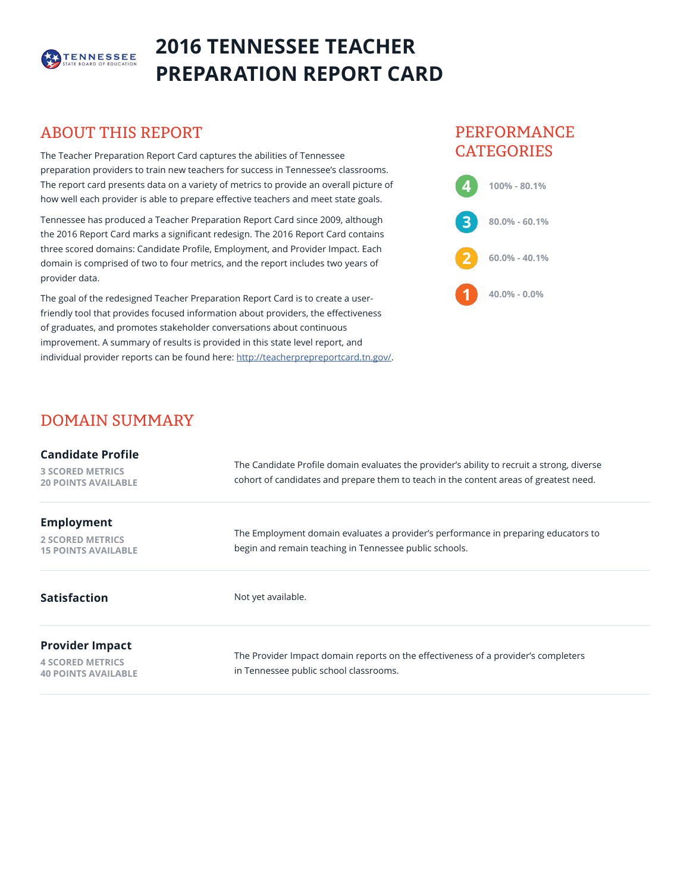

# **2016 TENNESSEE TEACHER PREPARATION REPORT CARD**

## ABOUT THIS REPORT

The Teacher Preparation Report Card captures the abilities of Tennessee preparation providers to train new teachers for success in Tennessee's classrooms. The report card presents data on a variety of metrics to provide an overall picture of how well each provider is able to prepare effective teachers and meet state goals.

Tennessee has produced a Teacher Preparation Report Card since 2009, although the 2016 Report Card marks a significant redesign. The 2016 Report Card contains three scored domains: Candidate Profile, Employment, and Provider Impact. Each domain is comprised of two to four metrics, and the report includes two years of provider data.

The goal of the redesigned Teacher Preparation Report Card is to create a userfriendly tool that provides focused information about providers, the effectiveness of graduates, and promotes stakeholder conversations about continuous improvement. A summary of results is provided in this state level report, and individual provider reports can be found here: <http://teacherprepreportcard.tn.gov/>.

## PERFORMANCE **CATEGORIES**



## DOMAIN SUMMARY

| <b>Candidate Profile</b><br><b>3 SCORED METRICS</b><br><b>20 POINTS AVAILABLE</b> | The Candidate Profile domain evaluates the provider's ability to recruit a strong, diverse<br>cohort of candidates and prepare them to teach in the content areas of greatest need. |  |  |
|-----------------------------------------------------------------------------------|-------------------------------------------------------------------------------------------------------------------------------------------------------------------------------------|--|--|
| <b>Employment</b><br><b>2 SCORED METRICS</b><br><b>15 POINTS AVAILABLE</b>        | The Employment domain evaluates a provider's performance in preparing educators to<br>begin and remain teaching in Tennessee public schools.                                        |  |  |
| <b>Satisfaction</b>                                                               | Not yet available.                                                                                                                                                                  |  |  |
| <b>Provider Impact</b><br><b>4 SCORED METRICS</b><br><b>40 POINTS AVAILABLE</b>   | The Provider Impact domain reports on the effectiveness of a provider's completers<br>in Tennessee public school classrooms.                                                        |  |  |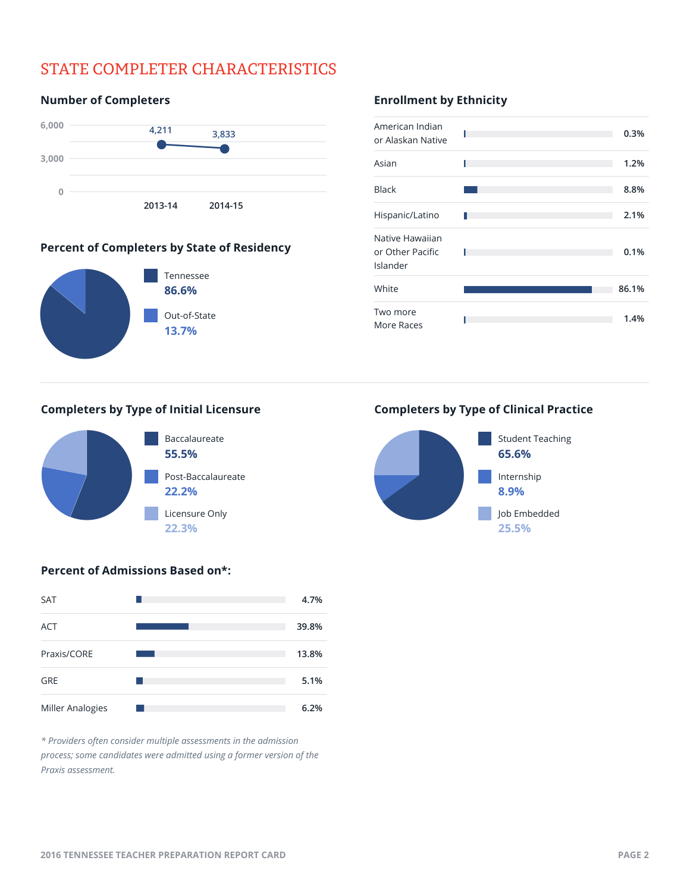# STATE COMPLETER CHARACTERISTICS

# **6,000 3,000 2013-14 2014-15 0**  $\begin{array}{r} \n 11 \ \hline \n 3,8 \ \n \end{array}$ <br>  $\begin{array}{r} \n 3,8 \ \n \end{array}$ <br>  $\begin{array}{r} \n 3,8 \ \n \end{array}$ **4,211 3,833**

#### **Percent of Completers by State of Residency**



**Number of Completers**

#### **Completers by Type of Initial Licensure Completers by Type of Clinical Practice**



### **Enrollment by Ethnicity**





#### **Percent of Admissions Based on\*:**



*\* Providers often consider multiple assessments in the admission process; some candidates were admitted using a former version of the Praxis assessment.*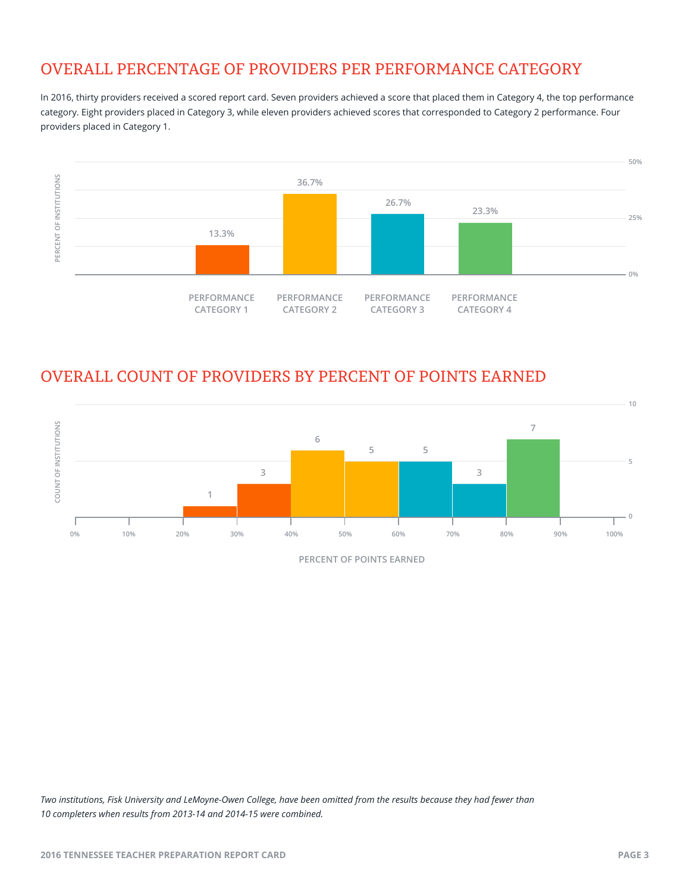# OVERALL PERCENTAGE OF PROVIDERS PER PERFORMANCE CATEGORY

In 2016, thirty providers received a scored report card. Seven providers achieved a score that placed them in Category 4, the top performance category. Eight providers placed in Category 3, while eleven providers achieved scores that corresponded to Category 2 performance. Four providers placed in Category 1.



## OVERALL COUNT OF PROVIDERS BY PERCENT OF POINTS EARNED



*Two institutions, Fisk University and LeMoyne-Owen College, have been omitted from the results because they had fewer than 10 completers when results from 2013-14 and 2014-15 were combined.*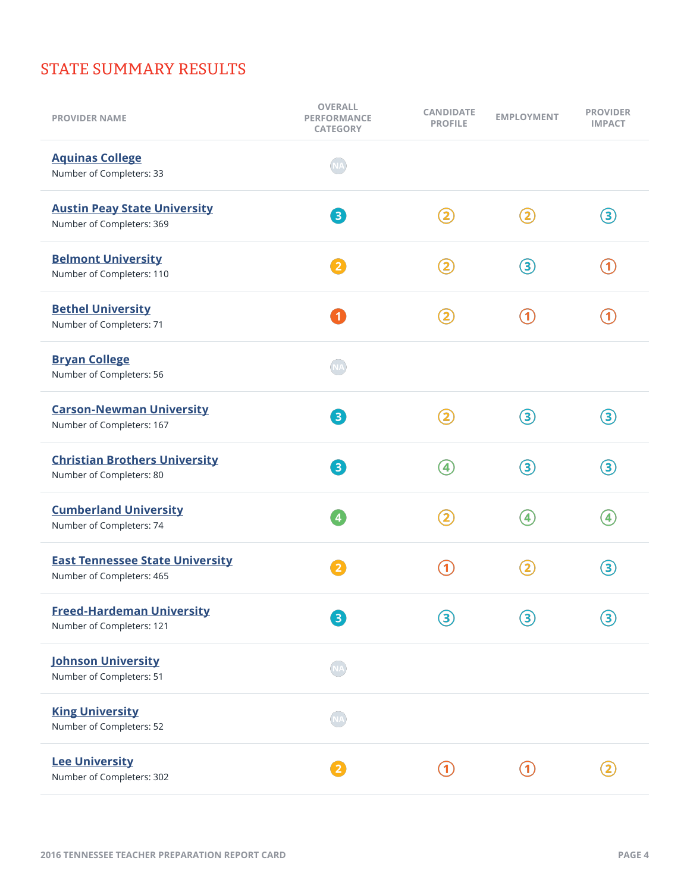# STATE SUMMARY RESULTS

| <b>PROVIDER NAME</b>                                                | <b>OVERALL</b><br><b>PERFORMANCE</b><br><b>CATEGORY</b> | <b>CANDIDATE</b><br><b>PROFILE</b> | <b>EMPLOYMENT</b> | <b>PROVIDER</b><br><b>IMPACT</b> |
|---------------------------------------------------------------------|---------------------------------------------------------|------------------------------------|-------------------|----------------------------------|
| <b>Aquinas College</b><br>Number of Completers: 33                  |                                                         |                                    |                   |                                  |
| <b>Austin Peay State University</b><br>Number of Completers: 369    | 8                                                       | 2                                  | $\mathbf{2}$      | ③                                |
| <b>Belmont University</b><br>Number of Completers: 110              | $\overline{2}$                                          | $\mathbf{2}$                       | 3                 | $\left( 1\right)$                |
| <b>Bethel University</b><br>Number of Completers: 71                | $\mathbf{1}$                                            | $\overline{\mathbf{2}}$            | n                 | $\left( 1\right)$                |
| <b>Bryan College</b><br>Number of Completers: 56                    | <b>NA</b>                                               |                                    |                   |                                  |
| <b>Carson-Newman University</b><br>Number of Completers: 167        | 8                                                       | $\mathbf{Z}$                       | 3                 | 3                                |
| <b>Christian Brothers University</b><br>Number of Completers: 80    | $\left(3\right)$                                        | $\left( 4\right)$                  | ③                 | ③                                |
| <b>Cumberland University</b><br>Number of Completers: 74            | $\overline{4}$                                          | $\mathbf{2}$                       | 4                 | 4                                |
| <b>East Tennessee State University</b><br>Number of Completers: 465 | $\overline{2}$                                          | $\blacktriangleleft$               | $\mathbf{2}$      | 3                                |
| <b>Freed-Hardeman University</b><br>Number of Completers: 121       | $\boxed{3}$                                             | 3)                                 | $\mathbf{3}$      | 3)                               |
| <b>Johnson University</b><br>Number of Completers: 51               |                                                         |                                    |                   |                                  |
| <b>King University</b><br>Number of Completers: 52                  |                                                         |                                    |                   |                                  |
| <b>Lee University</b><br>Number of Completers: 302                  |                                                         |                                    |                   |                                  |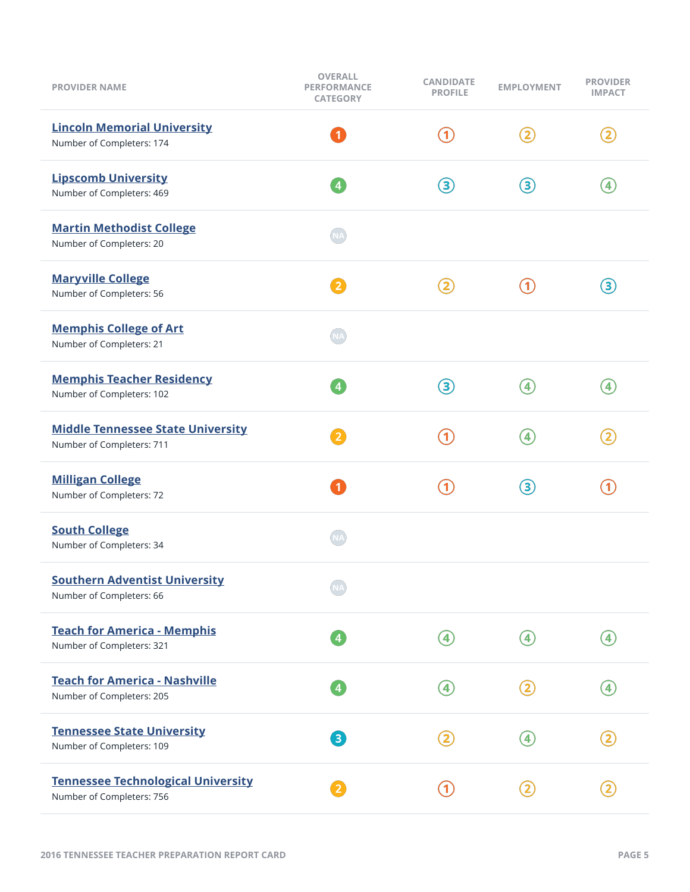| <b>PROVIDER NAME</b>                                                   | <b>OVERALL</b><br><b>PERFORMANCE</b><br><b>CATEGORY</b> | <b>CANDIDATE</b><br><b>PROFILE</b> | <b>EMPLOYMENT</b> | <b>PROVIDER</b><br><b>IMPACT</b> |
|------------------------------------------------------------------------|---------------------------------------------------------|------------------------------------|-------------------|----------------------------------|
| <b>Lincoln Memorial University</b><br>Number of Completers: 174        | $\mathbf{1}$                                            | $\left( 1\right)$                  | $\mathbf{2}$      | $\mathbf{2}$                     |
| <b>Lipscomb University</b><br>Number of Completers: 469                | $\overline{4}$                                          | ③                                  | 3                 | $\left( 4\right)$                |
| <b>Martin Methodist College</b><br>Number of Completers: 20            |                                                         |                                    |                   |                                  |
| <b>Maryville College</b><br>Number of Completers: 56                   | $\overline{2}$                                          | $\mathbf{2}$                       | 0                 | 3                                |
| <b>Memphis College of Art</b><br>Number of Completers: 21              | <b>NA</b>                                               |                                    |                   |                                  |
| <b>Memphis Teacher Residency</b><br>Number of Completers: 102          | $\overline{4}$                                          | 3                                  | $\left( 4\right)$ | $\left( 4\right)$                |
| <b>Middle Tennessee State University</b><br>Number of Completers: 711  | $\mathbf{2}$                                            | $\left  \textbf{1} \right\rangle$  | $\left( 4\right)$ | $\mathbf{2}$                     |
| <b>Milligan College</b><br>Number of Completers: 72                    | $\mathbf{1}$                                            | $\mathbf{1}$                       | 3                 | ิก                               |
| <b>South College</b><br>Number of Completers: 34                       |                                                         |                                    |                   |                                  |
| <b>Southern Adventist University</b><br>Number of Completers: 66       |                                                         |                                    |                   |                                  |
| <b>Teach for America - Memphis</b><br>Number of Completers: 321        |                                                         | $\left( 4\right)$                  | $\left( 4\right)$ | $\left( 4 \right)$               |
| <b>Teach for America - Nashville</b><br>Number of Completers: 205      |                                                         | $\left( 4 \right)$                 | $\mathbf{2}$      | 4                                |
| <b>Tennessee State University</b><br>Number of Completers: 109         | 3                                                       |                                    |                   |                                  |
| <b>Tennessee Technological University</b><br>Number of Completers: 756 |                                                         | $\mathbf{1}$                       |                   |                                  |